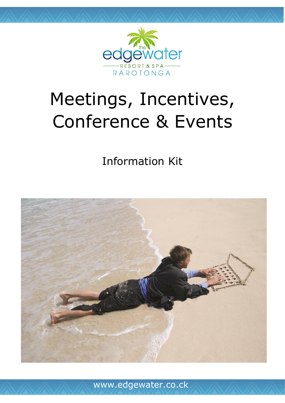

# Meetings, Incentives, Conference & Events

Information Kit

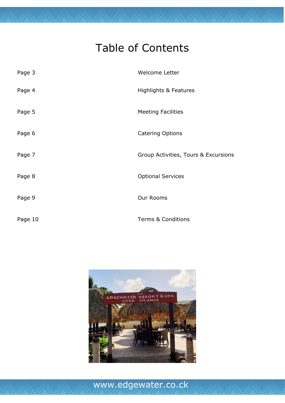## Table of Contents

| Page 3  | Welcome Letter                       |
|---------|--------------------------------------|
| Page 4  | <b>Highlights &amp; Features</b>     |
| Page 5  | <b>Meeting Facilities</b>            |
| Page 6  | <b>Catering Options</b>              |
| Page 7  | Group Activities, Tours & Excursions |
| Page 8  | <b>Optional Services</b>             |
| Page 9  | Our Rooms                            |
| Page 10 | <b>Terms &amp; Conditions</b>        |

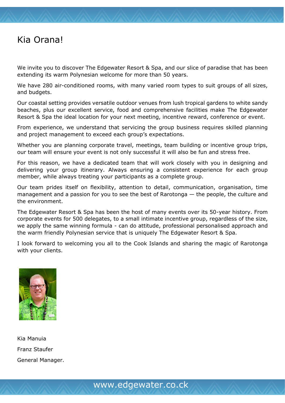#### Kia Orana!

We invite you to discover The Edgewater Resort & Spa, and our slice of paradise that has been extending its warm Polynesian welcome for more than 50 years.

We have 280 air-conditioned rooms, with many varied room types to suit groups of all sizes, and budgets.

Our coastal setting provides versatile outdoor venues from lush tropical gardens to white sandy beaches, plus our excellent service, food and comprehensive facilities make The Edgewater Resort & Spa the ideal location for your next meeting, incentive reward, conference or event.

From experience, we understand that servicing the group business requires skilled planning and project management to exceed each group's expectations.

Whether you are planning corporate travel, meetings, team building or incentive group trips, our team will ensure your event is not only successful it will also be fun and stress free.

For this reason, we have a dedicated team that will work closely with you in designing and delivering your group itinerary. Always ensuring a consistent experience for each group member, while always treating your participants as a complete group.

Our team prides itself on flexibility, attention to detail, communication, organisation, time management and a passion for you to see the best of Rarotonga — the people, the culture and the environment.

The Edgewater Resort & Spa has been the host of many events over its 50-year history. From corporate events for 500 delegates, to a small intimate incentive group, regardless of the size, we apply the same winning formula - can do attitude, professional personalised approach and the warm friendly Polynesian service that is uniquely The Edgewater Resort & Spa.

I look forward to welcoming you all to the Cook Islands and sharing the magic of Rarotonga with your clients.



Kia Manuia Franz Staufer General Manager.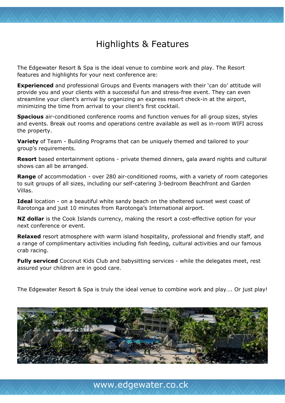### Highlights & Features

The Edgewater Resort & Spa is the ideal venue to combine work and play. The Resort features and highlights for your next conference are:

**Experienced** and professional Groups and Events managers with their 'can do' attitude will provide you and your clients with a successful fun and stress-free event. They can even streamline your client's arrival by organizing an express resort check-in at the airport, minimizing the time from arrival to your client's first cocktail.

**Spacious** air-conditioned conference rooms and function venues for all group sizes, styles and events. Break out rooms and operations centre available as well as in-room WIFI across the property.

**Variety** of Team - Building Programs that can be uniquely themed and tailored to your group's requirements.

**Resort** based entertainment options - private themed dinners, gala award nights and cultural shows can all be arranged.

**Range** of accommodation - over 280 air-conditioned rooms, with a variety of room categories to suit groups of all sizes, including our self-catering 3-bedroom Beachfront and Garden Villas.

**Ideal** location - on a beautiful white sandy beach on the sheltered sunset west coast of Rarotonga and just 10 minutes from Rarotonga's International airport.

**NZ dollar** is the Cook Islands currency, making the resort a cost-effective option for your next conference or event.

**Relaxed** resort atmosphere with warm island hospitality, professional and friendly staff, and a range of complimentary activities including fish feeding, cultural activities and our famous crab racing.

**Fully serviced** Coconut Kids Club and babysitting services - while the delegates meet, rest assured your children are in good care.

The Edgewater Resort & Spa is truly the ideal venue to combine work and play…. Or just play!

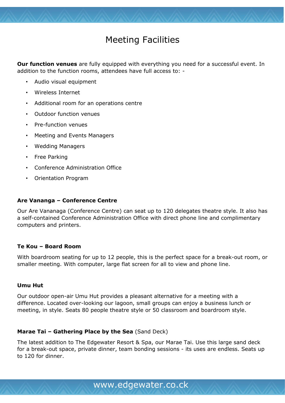### Meeting Facilities

**Our function venues** are fully equipped with everything you need for a successful event. In addition to the function rooms, attendees have full access to: -

- Audio visual equipment
- Wireless Internet
- Additional room for an operations centre
- Outdoor function venues
- Pre-function venues
- Meeting and Events Managers
- Wedding Managers
- Free Parking
- Conference Administration Office
- Orientation Program

#### **Are Vananga – Conference Centre**

Our Are Vananaga (Conference Centre) can seat up to 120 delegates theatre style. It also has a self-contained Conference Administration Office with direct phone line and complimentary computers and printers.

#### **Te Kou – Board Room**

With boardroom seating for up to 12 people, this is the perfect space for a break-out room, or smaller meeting. With computer, large flat screen for all to view and phone line.

#### **Umu Hut**

Our outdoor open-air Umu Hut provides a pleasant alternative for a meeting with a difference. Located over-looking our lagoon, small groups can enjoy a business lunch or meeting, in style. Seats 80 people theatre style or 50 classroom and boardroom style.

#### **Marae Tai – Gathering Place by the Sea** (Sand Deck)

The latest addition to The Edgewater Resort & Spa, our Marae Tai. Use this large sand deck for a break-out space, private dinner, team bonding sessions - its uses are endless. Seats up to 120 for dinner.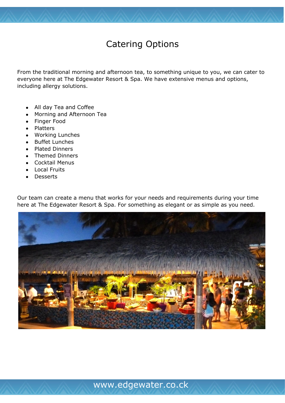### Catering Options

From the traditional morning and afternoon tea, to something unique to you, we can cater to everyone here at The Edgewater Resort & Spa. We have extensive menus and options, including allergy solutions.

- All day Tea and Coffee
- Morning and Afternoon Tea
- Finger Food
- Platters
- Working Lunches
- Buffet Lunches
- Plated Dinners
- Themed Dinners
- Cocktail Menus
- Local Fruits
- Desserts

Our team can create a menu that works for your needs and requirements during your time here at The Edgewater Resort & Spa. For something as elegant or as simple as you need.

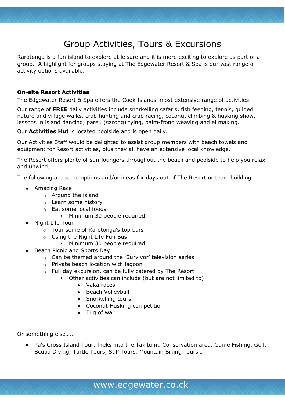#### Group Activities, Tours & Excursions

Rarotonga is a fun island to explore at leisure and it is more exciting to explore as part of a group. A highlight for groups staying at The Edgewater Resort & Spa is our vast range of activity options available.

#### **On-site Resort Activities**

The Edgewater Resort & Spa offers the Cook Islands' most extensive range of activities.

Our range of **FREE** daily activities include snorkelling safaris, fish feeding, tennis, guided nature and village walks, crab hunting and crab racing, coconut climbing & husking show, lessons in island dancing, pareu (sarong) tying, palm-frond weaving and ei making.

Our **Activities Hut** is located poolside and is open daily.

Our Activities Staff would be delighted to assist group members with beach towels and equipment for Resort activities, plus they all have an extensive local knowledge.

The Resort offers plenty of sun-loungers throughout the beach and poolside to help you relax and unwind.

The following are some options and/or ideas for days out of The Resort or team building.

- Amazing Race
	- o Around the island
	- o Learn some history
	- o Eat some local foods
		- Minimum 30 people required
- Night Life Tour
	- o Tour some of Rarotonga's top bars
	- o Using the Night Life Fun Bus
		- Minimum 30 people required
- Beach Picnic and Sports Day
	- o Can be themed around the 'Survivor' television series
	- o Private beach location with lagoon
	- o Full day excursion, can be fully catered by The Resort
		- Other activities can include (but are not limited to)
			- Vaka races
			- Beach Volleyball
			- Snorkelling tours
			- Coconut Husking competition
			- Tug of war

Or something else…..

• Pa's Cross Island Tour, Treks into the Takitumu Conservation area, Game Fishing, Golf, Scuba Diving, Turtle Tours, SuP Tours, Mountain Biking Tours…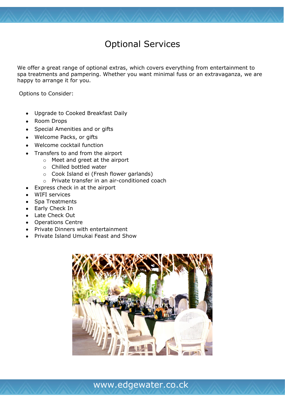### Optional Services

We offer a great range of optional extras, which covers everything from entertainment to spa treatments and pampering. Whether you want minimal fuss or an extravaganza, we are happy to arrange it for you.

Options to Consider:

- Upgrade to Cooked Breakfast Daily
- Room Drops
- Special Amenities and or gifts
- Welcome Packs, or gifts
- Welcome cocktail function
- Transfers to and from the airport
	- o Meet and greet at the airport
	- o Chilled bottled water
	- o Cook Island ei (Fresh flower garlands)
	- o Private transfer in an air-conditioned coach
- Express check in at the airport
- WIFI services
- Spa Treatments
- Early Check In
- Late Check Out
- Operations Centre
- Private Dinners with entertainment
- Private Island Umukai Feast and Show

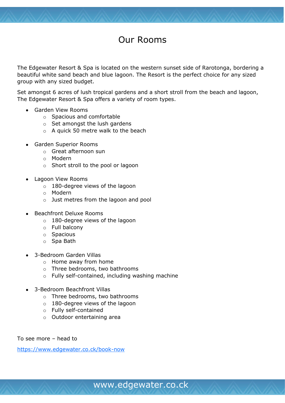### Our Rooms

The Edgewater Resort & Spa is located on the western sunset side of Rarotonga, bordering a beautiful white sand beach and blue lagoon. The Resort is the perfect choice for any sized group with any sized budget.

Set amongst 6 acres of lush tropical gardens and a short stroll from the beach and lagoon, The Edgewater Resort & Spa offers a variety of room types.

- Garden View Rooms
	- o Spacious and comfortable
	- o Set amongst the lush gardens
	- o A quick 50 metre walk to the beach
- Garden Superior Rooms
	- o Great afternoon sun
	- o Modern
	- o Short stroll to the pool or lagoon
- Lagoon View Rooms
	- o 180-degree views of the lagoon
	- o Modern
	- o Just metres from the lagoon and pool
- Beachfront Deluxe Rooms
	- o 180-degree views of the lagoon
	- o Full balcony
	- o Spacious
	- o Spa Bath
- 3-Bedroom Garden Villas
	- o Home away from home
	- o Three bedrooms, two bathrooms
	- o Fully self-contained, including washing machine
- 3-Bedroom Beachfront Villas
	- o Three bedrooms, two bathrooms
	- o 180-degree views of the lagoon
	- o Fully self-contained
	- o Outdoor entertaining area

To see more – head to

<https://www.edgewater.co.ck/book-now>